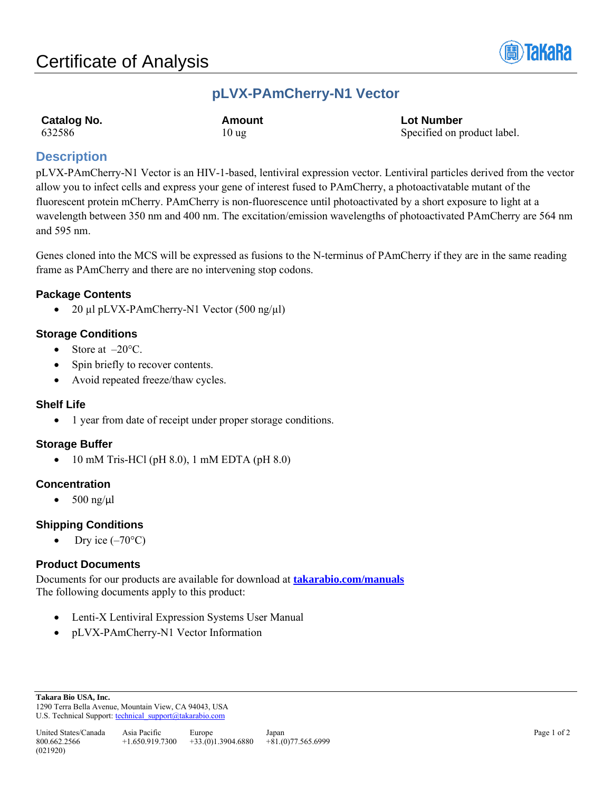

## **pLVX-PAmCherry-N1 Vector**

| Catalog No. | Amount          | <b>Lot Number</b>           |
|-------------|-----------------|-----------------------------|
| 632586      | $10 \text{ ug}$ | Specified on product label. |

## **Description**

pLVX-PAmCherry-N1 Vector is an HIV-1-based, lentiviral expression vector. Lentiviral particles derived from the vector allow you to infect cells and express your gene of interest fused to PAmCherry, a photoactivatable mutant of the fluorescent protein mCherry. PAmCherry is non-fluorescence until photoactivated by a short exposure to light at a wavelength between 350 nm and 400 nm. The excitation/emission wavelengths of photoactivated PAmCherry are 564 nm and 595 nm.

Genes cloned into the MCS will be expressed as fusions to the N-terminus of PAmCherry if they are in the same reading frame as PAmCherry and there are no intervening stop codons.

## **Package Contents**

• 20 µl pLVX-PAmCherry-N1 Vector (500 ng/µl)

## **Storage Conditions**

- Store at  $-20^{\circ}$ C.
- Spin briefly to recover contents.
- Avoid repeated freeze/thaw cycles.

## **Shelf Life**

• 1 year from date of receipt under proper storage conditions.

## **Storage Buffer**

• 10 mM Tris-HCl (pH 8.0), 1 mM EDTA (pH 8.0)

## **Concentration**

•  $500$  ng/ $\mu$ l

## **Shipping Conditions**

Dry ice  $(-70^{\circ}C)$ 

## **Product Documents**

Documents for our products are available for download at **[takarabio.com/manuals](http://www.takarabio.com/manuals)** The following documents apply to this product:

- Lenti-X Lentiviral Expression Systems User Manual
- pLVX-PAmCherry-N1 Vector Information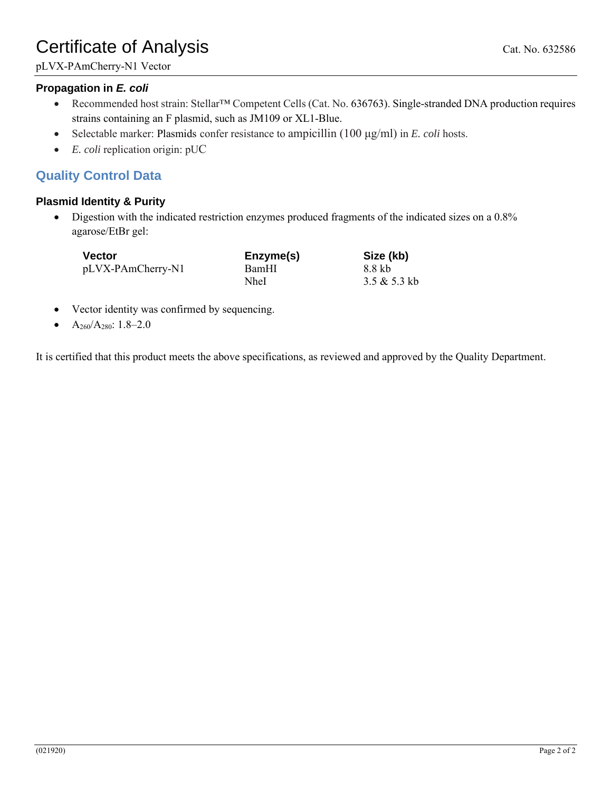# Certificate of Analysis Cat. No. 632586

## **Propagation in** *E. coli*

- Recommended host strain: Stellar™ Competent Cells (Cat. No. 636763). Single-stranded DNA production requires strains containing an F plasmid, such as JM109 or XL1-Blue.
- Selectable marker: Plasmids confer resistance to ampicillin (100 μg/ml) in *E. coli* hosts.
- *E. coli* replication origin: pUC

## **Quality Control Data**

## **Plasmid Identity & Purity**

• Digestion with the indicated restriction enzymes produced fragments of the indicated sizes on a 0.8% agarose/EtBr gel:

| <b>Vector</b>     | Enzyme(s) | Size (kb)    |
|-------------------|-----------|--------------|
| pLVX-PAmCherry-N1 | BamHI     | 8.8 kb       |
|                   | NheI      | 3.5 & 5.3 kb |

- Vector identity was confirmed by sequencing.
- $A_{260}/A_{280}$ : 1.8–2.0

It is certified that this product meets the above specifications, as reviewed and approved by the Quality Department.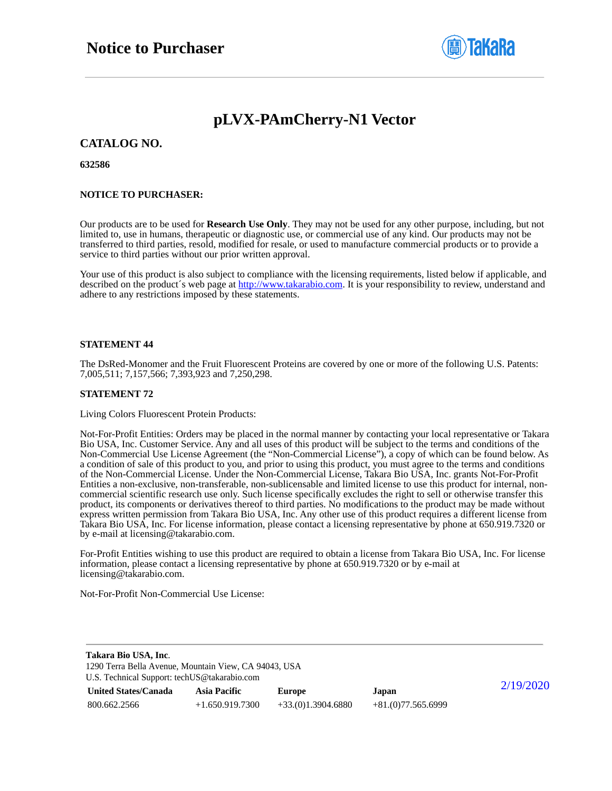

## **pLVX-PAmCherry-N1 Vector**

### **CATALOG NO.**

### **632586**

### **NOTICE TO PURCHASER:**

Our products are to be used for **Research Use Only**. They may not be used for any other purpose, including, but not limited to, use in humans, therapeutic or diagnostic use, or commercial use of any kind. Our products may not be transferred to third parties, resold, modified for resale, or used to manufacture commercial products or to provide a service to third parties without our prior written approval.

Your use of this product is also subject to compliance with the licensing requirements, listed below if applicable, and described on the product's web page at [http://www.takarabio.com.](http://www.takarabio.com/) It is your responsibility to review, understand and adhere to any restrictions imposed by these statements.

### **STATEMENT 44**

The DsRed-Monomer and the Fruit Fluorescent Proteins are covered by one or more of the following U.S. Patents: 7,005,511; 7,157,566; 7,393,923 and 7,250,298.

#### **STATEMENT 72**

Living Colors Fluorescent Protein Products:

Not-For-Profit Entities: Orders may be placed in the normal manner by contacting your local representative or Takara Bio USA, Inc. Customer Service. Any and all uses of this product will be subject to the terms and conditions of the Non-Commercial Use License Agreement (the "Non-Commercial License"), a copy of which can be found below. As a condition of sale of this product to you, and prior to using this product, you must agree to the terms and conditions of the Non-Commercial License. Under the Non-Commercial License, Takara Bio USA, Inc. grants Not-For-Profit Entities a non-exclusive, non-transferable, non-sublicensable and limited license to use this product for internal, noncommercial scientific research use only. Such license specifically excludes the right to sell or otherwise transfer this product, its components or derivatives thereof to third parties. No modifications to the product may be made without express written permission from Takara Bio USA, Inc. Any other use of this product requires a different license from Takara Bio USA, Inc. For license information, please contact a licensing representative by phone at 650.919.7320 or by e-mail at licensing@takarabio.com.

For-Profit Entities wishing to use this product are required to obtain a license from Takara Bio USA, Inc. For license information, please contact a licensing representative by phone at 650.919.7320 or by e-mail at licensing@takarabio.com.

Not-For-Profit Non-Commercial Use License:

| Takara Bio USA, Inc.                                  |                     |                     |                     |           |
|-------------------------------------------------------|---------------------|---------------------|---------------------|-----------|
| 1290 Terra Bella Avenue, Mountain View, CA 94043, USA |                     |                     |                     |           |
| U.S. Technical Support: techUS@takarabio.com          |                     |                     |                     |           |
| <b>United States/Canada</b>                           | <b>Asia Pacific</b> | Europe              | Japan               | 2/19/2020 |
| 800.662.2566                                          | $+1.650.919.7300$   | $+33(0)1.3904.6880$ | $+81(0)77.565.6999$ |           |